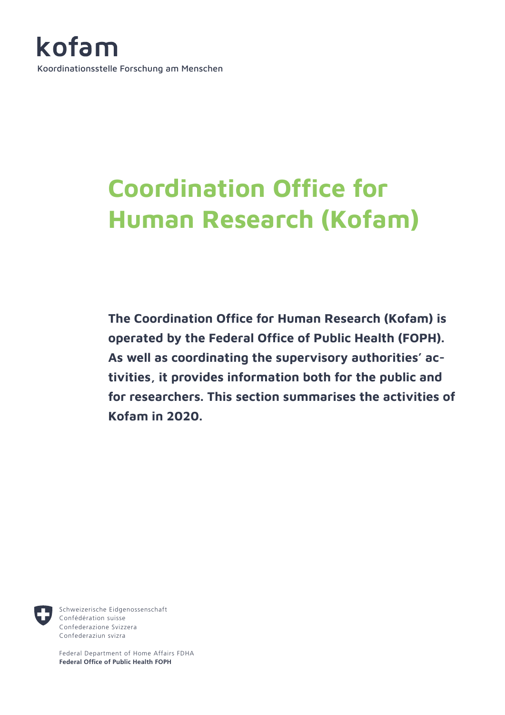

# **Coordination Office for Human Research (Kofam)**

**The Coordination Office for Human Research (Kofam) is operated by the Federal Office of Public Health (FOPH). As well as coordinating the supervisory authorities' activities, it provides information both for the public and for researchers. This section summarises the activities of Kofam in 2020.**



Schweizerische Eidgenossenschaft Confédération suisse Confederazione Svizzera Confederaziun svizra

Federal Department of Home Affairs FDHA **Federal Office of Public Health FOPH**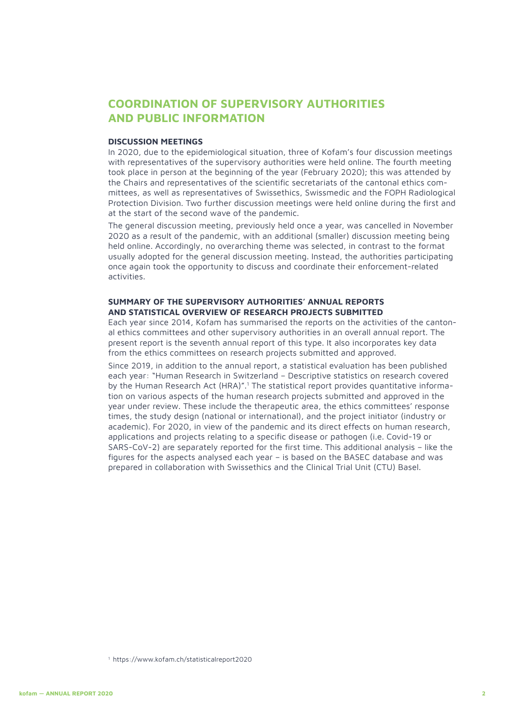# **COORDINATION OF SUPERVISORY AUTHORITIES AND PUBLIC INFORMATION**

#### **DISCUSSION MEETINGS**

In 2020, due to the epidemiological situation, three of Kofam's four discussion meetings with representatives of the supervisory authorities were held online. The fourth meeting took place in person at the beginning of the year (February 2020); this was attended by the Chairs and representatives of the scientific secretariats of the cantonal ethics committees, as well as representatives of Swissethics, Swissmedic and the FOPH Radiological Protection Division. Two further discussion meetings were held online during the first and at the start of the second wave of the pandemic.

The general discussion meeting, previously held once a year, was cancelled in November 2020 as a result of the pandemic, with an additional (smaller) discussion meeting being held online. Accordingly, no overarching theme was selected, in contrast to the format usually adopted for the general discussion meeting. Instead, the authorities participating once again took the opportunity to discuss and coordinate their enforcement-related activities.

# **SUMMARY OF THE SUPERVISORY AUTHORITIES' ANNUAL REPORTS AND STATISTICAL OVERVIEW OF RESEARCH PROJECTS SUBMITTED**

Each year since 2014, Kofam has summarised the reports on the activities of the cantonal ethics committees and other supervisory authorities in an overall annual report. The present report is the seventh annual report of this type. It also incorporates key data from the ethics committees on research projects submitted and approved.

Since 2019, in addition to the annual report, a statistical evaluation has been published each year: "Human Research in Switzerland – Descriptive statistics on research covered by the Human Research Act (HRA)".<sup>1</sup> The statistical report provides quantitative information on various aspects of the human research projects submitted and approved in the year under review. These include the therapeutic area, the ethics committees' response times, the study design (national or international), and the project initiator (industry or academic). For 2020, in view of the pandemic and its direct effects on human research, applications and projects relating to a specific disease or pathogen (i.e. Covid-19 or SARS-CoV-2) are separately reported for the first time. This additional analysis – like the figures for the aspects analysed each year – is based on the BASEC database and was prepared in collaboration with Swissethics and the Clinical Trial Unit (CTU) Basel.

<sup>1</sup> https://www.kofam.ch/statisticalreport2020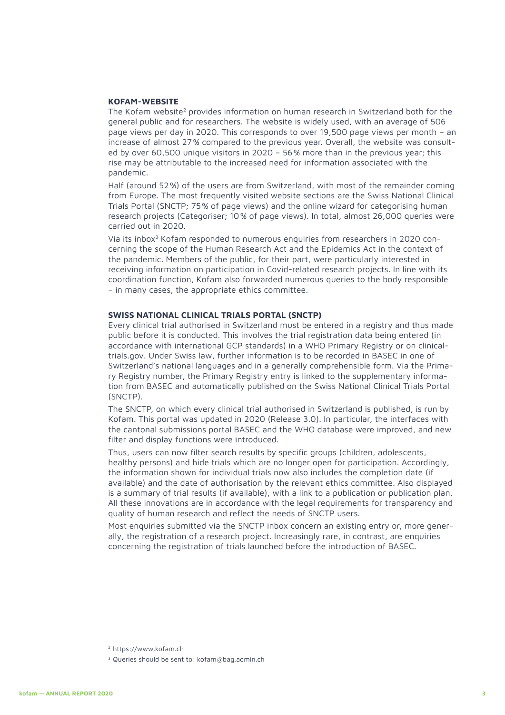# **KOFAM-WEBSITE**

The Kofam website<sup>2</sup> provides information on human research in Switzerland both for the general public and for researchers. The website is widely used, with an average of 506 page views per day in 2020. This corresponds to over 19,500 page views per month – an increase of almost 27% compared to the previous year. Overall, the website was consulted by over 60,500 unique visitors in 2020 – 56% more than in the previous year; this rise may be attributable to the increased need for information associated with the pandemic.

Half (around 52%) of the users are from Switzerland, with most of the remainder coming from Europe. The most frequently visited website sections are the Swiss National Clinical Trials Portal (SNCTP; 75% of page views) and the online wizard for categorising human research projects (Categoriser; 10% of page views). In total, almost 26,000 queries were carried out in 2020.

Via its inbox3 Kofam responded to numerous enquiries from researchers in 2020 concerning the scope of the Human Research Act and the Epidemics Act in the context of the pandemic. Members of the public, for their part, were particularly interested in receiving information on participation in Covid-related research projects. In line with its coordination function, Kofam also forwarded numerous queries to the body responsible – in many cases, the appropriate ethics committee.

#### **SWISS NATIONAL CLINICAL TRIALS PORTAL (SNCTP)**

Every clinical trial authorised in Switzerland must be entered in a registry and thus made public before it is conducted. This involves the trial registration data being entered (in accordance with international GCP standards) in a WHO Primary Registry or on clinicaltrials.gov. Under Swiss law, further information is to be recorded in BASEC in one of Switzerland's national languages and in a generally comprehensible form. Via the Primary Registry number, the Primary Registry entry is linked to the supplementary information from BASEC and automatically published on the Swiss National Clinical Trials Portal (SNCTP).

The SNCTP, on which every clinical trial authorised in Switzerland is published, is run by Kofam. This portal was updated in 2020 (Release 3.0). In particular, the interfaces with the cantonal submissions portal BASEC and the WHO database were improved, and new filter and display functions were introduced.

Thus, users can now filter search results by specific groups (children, adolescents, healthy persons) and hide trials which are no longer open for participation. Accordingly, the information shown for individual trials now also includes the completion date (if available) and the date of authorisation by the relevant ethics committee. Also displayed is a summary of trial results (if available), with a link to a publication or publication plan. All these innovations are in accordance with the legal requirements for transparency and quality of human research and reflect the needs of SNCTP users.

Most enquiries submitted via the SNCTP inbox concern an existing entry or, more generally, the registration of a research project. Increasingly rare, in contrast, are enquiries concerning the registration of trials launched before the introduction of BASEC.

<sup>2</sup> https://www.kofam.ch

<sup>3</sup> Queries should be sent to: kofam@bag.admin.ch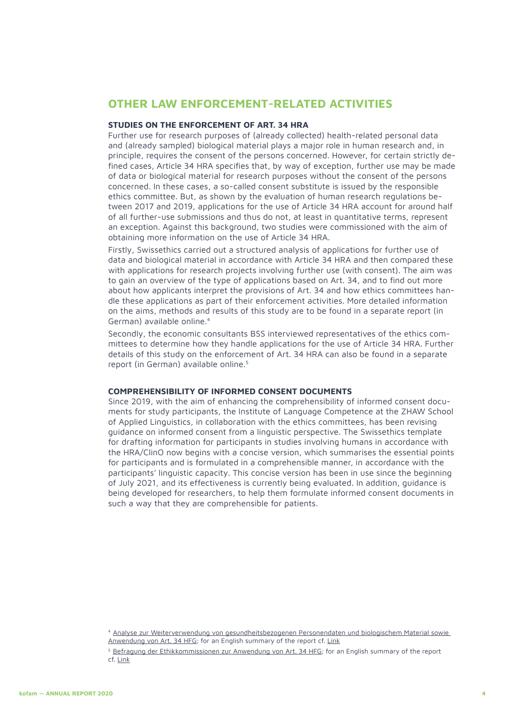# **OTHER LAW ENFORCEMENT-RELATED ACTIVITIES**

## **STUDIES ON THE ENFORCEMENT OF ART. 34 HRA**

Further use for research purposes of (already collected) health-related personal data and (already sampled) biological material plays a major role in human research and, in principle, requires the consent of the persons concerned. However, for certain strictly defined cases, Article 34 HRA specifies that, by way of exception, further use may be made of data or biological material for research purposes without the consent of the persons concerned. In these cases, a so-called consent substitute is issued by the responsible ethics committee. But, as shown by the evaluation of human research regulations between 2017 and 2019, applications for the use of Article 34 HRA account for around half of all further-use submissions and thus do not, at least in quantitative terms, represent an exception. Against this background, two studies were commissioned with the aim of obtaining more information on the use of Article 34 HRA.

Firstly, Swissethics carried out a structured analysis of applications for further use of data and biological material in accordance with Article 34 HRA and then compared these with applications for research projects involving further use (with consent). The aim was to gain an overview of the type of applications based on Art. 34, and to find out more about how applicants interpret the provisions of Art. 34 and how ethics committees handle these applications as part of their enforcement activities. More detailed information on the aims, methods and results of this study are to be found in a separate report (in German) available online.4

Secondly, the economic consultants BSS interviewed representatives of the ethics committees to determine how they handle applications for the use of Article 34 HRA. Further details of this study on the enforcement of Art. 34 HRA can also be found in a separate report (in German) available online.<sup>5</sup>

#### **COMPREHENSIBILITY OF INFORMED CONSENT DOCUMENTS**

Since 2019, with the aim of enhancing the comprehensibility of informed consent documents for study participants, the Institute of Language Competence at the ZHAW School of Applied Linguistics, in collaboration with the ethics committees, has been revising guidance on informed consent from a linguistic perspective. The Swissethics template for drafting information for participants in studies involving humans in accordance with the HRA/ClinO now begins with a concise version, which summarises the essential points for participants and is formulated in a comprehensible manner, in accordance with the participants' linguistic capacity. This concise version has been in use since the beginning of July 2021, and its effectiveness is currently being evaluated. In addition, guidance is being developed for researchers, to help them formulate informed consent documents in such a way that they are comprehensible for patients.

<sup>4</sup> [Analyse zur Weiterverwendung von gesundheitsbezogenen Personendaten und biologischem Material sowie](https://www.bag.admin.ch/dam/bag/en/dokumente/biomed/forschung-am-menschen/forschung-biomedizin/bericht-art34-gesuche.pdf.download.pdf/210121_Artikel_34_Bericht_final.pdf)  [Anwendung von Art. 34 HFG;](https://www.bag.admin.ch/dam/bag/en/dokumente/biomed/forschung-am-menschen/forschung-biomedizin/bericht-art34-gesuche.pdf.download.pdf/210121_Artikel_34_Bericht_final.pdf) for an English summary of the report cf. [Link](https://www.bag.admin.ch/dam/bag/en/dokumente/biomed/forschung-am-menschen/forschung-biomedizin/bericht-art34-gesuche-zusammenfassung.pdf.download.pdf/Artikel34_AnalyseGesuche_Zusammenfassung_EN.pdf)

<sup>5</sup> [Befragung der Ethikkommissionen zur Anwendung von Art. 34 HFG](https://www.bag.admin.ch/dam/bag/en/dokumente/biomed/forschung-am-menschen/forschung-biomedizin/hfg-art-34-bericht-bss.pdf.download.pdf/HFG%20Art34_Bericht%20BSS.pdf); for an English summary of the report cf. [Link](https://www.bag.admin.ch/dam/bag/en/dokumente/biomed/forschung-am-menschen/forschung-biomedizin/hfg-art34-bss-zusammenfassung.pdf.download.pdf/HFG%20Art34_BefragungEK_Zusammenfassung_EN.pdf)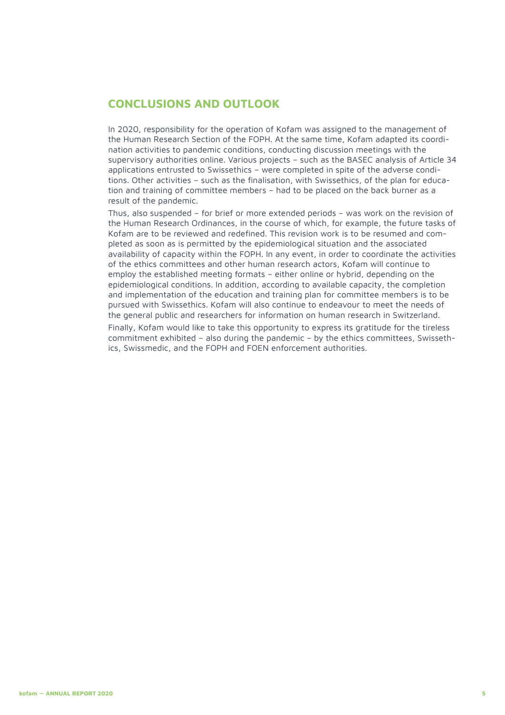# **CONCLUSIONS AND OUTLOOK**

In 2020, responsibility for the operation of Kofam was assigned to the management of the Human Research Section of the FOPH. At the same time, Kofam adapted its coordination activities to pandemic conditions, conducting discussion meetings with the supervisory authorities online. Various projects – such as the BASEC analysis of Article 34 applications entrusted to Swissethics – were completed in spite of the adverse conditions. Other activities – such as the finalisation, with Swissethics, of the plan for education and training of committee members – had to be placed on the back burner as a result of the pandemic.

Thus, also suspended – for brief or more extended periods – was work on the revision of the Human Research Ordinances, in the course of which, for example, the future tasks of Kofam are to be reviewed and redefined. This revision work is to be resumed and completed as soon as is permitted by the epidemiological situation and the associated availability of capacity within the FOPH. In any event, in order to coordinate the activities of the ethics committees and other human research actors, Kofam will continue to employ the established meeting formats – either online or hybrid, depending on the epidemiological conditions. In addition, according to available capacity, the completion and implementation of the education and training plan for committee members is to be pursued with Swissethics. Kofam will also continue to endeavour to meet the needs of the general public and researchers for information on human research in Switzerland. Finally, Kofam would like to take this opportunity to express its gratitude for the tireless commitment exhibited – also during the pandemic – by the ethics committees, Swissethics, Swissmedic, and the FOPH and FOEN enforcement authorities.